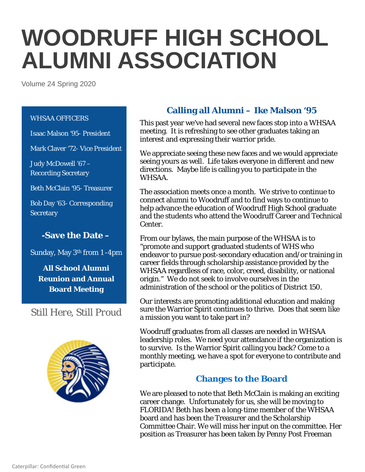# **WOODRUFF HIGH SCHOOL ALUMNI ASSOCIATION**

Volume 24 Spring 2020

#### WHSAA OFFICERS

Isaac Malson '95- President

Mark Claver '72- Vice President

Judy McDowell '67 – Recording Secretary

Beth McClain '95- Treasurer

Bob Day '63- Corresponding **Secretary** 

# **-Save the Date –**

Sunday, May 3th from 1 -4pm

**All School Alumni Reunion and Annual Board Meeting**

*Still Here, Still Proud*



# **Calling all Alumni – Ike Malson '95**

This past year we've had several new faces stop into a WHSAA meeting. It is refreshing to see other graduates taking an interest and expressing their warrior pride.

We appreciate seeing these new faces and we would appreciate seeing yours as well. Life takes everyone in different and new directions. Maybe life is calling you to participate in the WHSAA.

The association meets once a month. We strive to continue to connect alumni to Woodruff and to find ways to continue to help advance the education of Woodruff High School graduate and the students who attend the Woodruff Career and Technical Center.

From our bylaws, the main purpose of the WHSAA is to "promote and support graduated students of WHS who endeavor to pursue post-secondary education and/or training in career fields through scholarship assistance provided by the WHSAA regardless of race, color, creed, disability, or national origin." We do not seek to involve ourselves in the administration of the school or the politics of District 150.

Our interests are promoting additional education and making sure the Warrior Spirit continues to thrive. Does that seem like a mission you want to take part in?

Woodruff graduates from all classes are needed in WHSAA leadership roles. We need your attendance if the organization is to survive. Is the Warrior Spirit calling you back? Come to a monthly meeting, we have a spot for everyone to contribute and participate.

# **Changes to the Board**

We are pleased to note that Beth McClain is making an exciting career change. Unfortunately for us, she will be moving to FLORIDA! Beth has been a long-time member of the WHSAA board and has been the Treasurer and the Scholarship Committee Chair. We will miss her input on the committee. Her position as Treasurer has been taken by Penny Post Freeman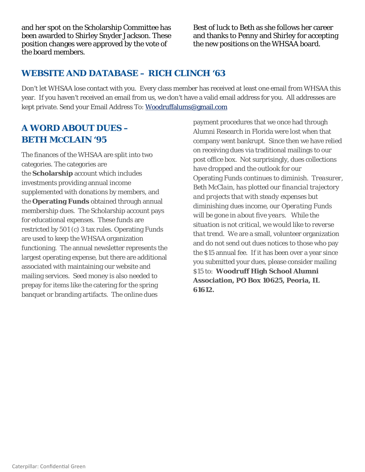and her spot on the Scholarship Committee has been awarded to Shirley Snyder Jackson. These position changes were approved by the vote of the board members.

Best of luck to Beth as she follows her career and thanks to Penny and Shirley for accepting the new positions on the WHSAA board.

#### **WEBSITE AND DATABASE – RICH CLINCH '63**

Don't let WHSAA lose contact with you. Every class member has received at least one email from WHSAA this year. If you haven't received an email from us, we don't have a valid email address for you. All addresses are kept private. Send your Email Address To[: Woodruffalums@gmail.com](mailto:Woodruffalums@gmail.com)

# **A WORD ABOUT DUES – BETH MCCLAIN '95**

The finances of the WHSAA are split into two categories. The categories are the **Scholarship** account which includes investments providing annual income supplemented with donations by members, and the **Operating Funds** obtained through annual membership dues. The Scholarship account pays for educational expenses. These funds are restricted by 501 (c) 3 tax rules. Operating Funds are used to keep the WHSAA organization functioning. The annual newsletter represents the largest operating expense, but there are additional associated with maintaining our website and mailing services. Seed money is also needed to prepay for items like the catering for the spring banquet or branding artifacts. The online dues

payment procedures that we once had through Alumni Research in Florida were lost when that company went bankrupt. Since then we have relied on receiving dues via traditional mailings to our post office box. Not surprisingly, dues collections have dropped and the outlook for our Operating Funds continues to diminish. *Treasurer, Beth McClain*, *has plotted our financial trajectory and projects that with steady expenses but diminishing dues income, our Operating Funds will be gone in about five years. While the situation is not critical, we would like to reverse that trend.* We are a small, volunteer organization and do not send out dues notices to those who pay the \$15 annual fee. If it has been over a year since you submitted your dues, please consider mailing \$15 to: **Woodruff High School Alumni Association, PO Box 10625, Peoria, IL 61612.**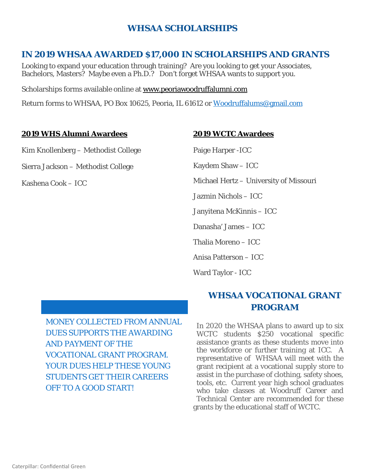# **WHSAA SCHOLARSHIPS**

# **IN 2019 WHSAA AWARDED \$17,000 IN SCHOLARSHIPS AND GRANTS**

Looking to expand your education through training? Are you looking to get your Associates, Bachelors, Masters? Maybe even a Ph.D.? Don't forget WHSAA wants to support you.

Scholarships forms available online at [www.peoriawoodruffalumni.com](http://www.peoriawoodruffalumni.com/)

Return forms to WHSAA, PO Box 10625, Peoria, IL 61612 or [Woodruffalums@gmail.com](mailto:Woodruffalums@gmail.com)

#### **2019 WHS Alumni Awardees**

Kim Knollenberg – Methodist College

Sierra Jackson – Methodist College

Kashena Cook – ICC

#### **2019 WCTC Awardees**

Paige Harper -ICC

Kaydem Shaw – ICC

Michael Hertz – University of Missouri

Jazmin Nichols – ICC

Janyitena McKinnis – ICC

Danasha' James – ICC

Thalia Moreno – ICC

Anisa Patterson – ICC

Ward Taylor - ICC

MONEY COLLECTED FROM ANNUAL DUES SUPPORTS THE AWARDING AND PAYMENT OF THE VOCATIONAL GRANT PROGRAM. YOUR DUES HELP THESE YOUNG STUDENTS GET THEIR CAREERS OFF TO A GOOD START!

# **WHSAA VOCATIONAL GRANT PROGRAM**

In 2020 the WHSAA plans to award up to six WCTC students \$250 vocational specific assistance grants as these students move into the workforce or further training at ICC. A representative of WHSAA will meet with the grant recipient at a vocational supply store to assist in the purchase of clothing, safety shoes, tools, etc. Current year high school graduates who take classes at Woodruff Career and Technical Center are recommended for these grants by the educational staff of WCTC.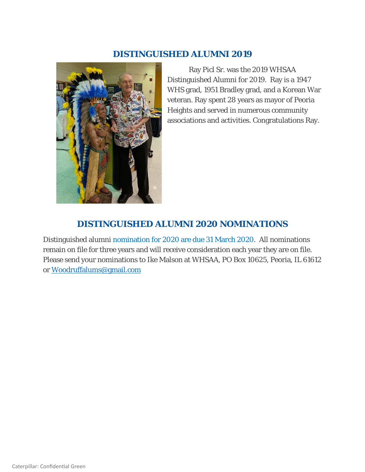#### **DISTINGUISHED ALUMNI 2019**



Ray Picl Sr. was the 2019 WHSAA Distinguished Alumni for 2019. Ray is a 1947 WHS grad, 1951 Bradley grad, and a Korean War veteran. Ray spent 28 years as mayor of Peoria Heights and served in numerous community associations and activities. Congratulations Ray.

# **DISTINGUISHED ALUMNI 2020 NOMINATIONS**

Distinguished alumni nomination for 2020 are due 31 March 2020. All nominations remain on file for three years and will receive consideration each year they are on file. Please send your nominations to Ike Malson at WHSAA, PO Box 10625, Peoria, IL 61612 or [Woodruffalums@gmail.com](mailto:Woodruffalums@gmail.com)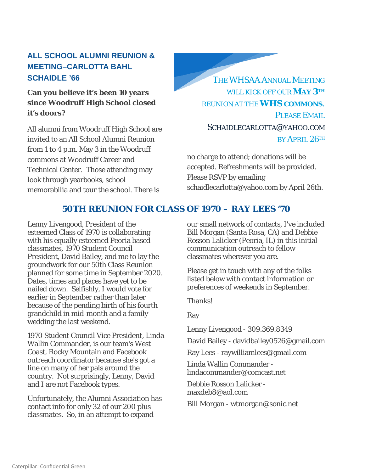# **ALL SCHOOL ALUMNI REUNION & MEETING–CARLOTTA BAHL SCHAIDLE '66**

# **Can you believe it's been 10 years since Woodruff High School closed it's doors?**

All alumni from Woodruff High School are invited to an All School Alumni Reunion from 1 to 4 p.m. May 3 in the Woodruff commons at Woodruff Career and Technical Center. Those attending may look through yearbooks, school memorabilia and tour the school. There is

THE WHSAA ANNUAL MEETING WILL KICK OFF OUR **MAY 3TH** REUNION AT THE **WHS COMMONS**. PLEASE EMAIL. [SCHAIDLECARLOTTA@YAHOO.COM](mailto:Schaidlecarlotta@yahoo.com)  BY APRIL 26TH

no charge to attend; donations will be accepted. Refreshments will be provided. Please RSVP by emailing schaidlecarlotta@yahoo.com by April 26th.

# **50TH REUNION FOR CLASS OF 1970 – RAY LEES '70**

Lenny Livengood, President of the esteemed Class of 1970 is collaborating with his equally esteemed Peoria based classmates, 1970 Student Council President, David Bailey, and me to lay the groundwork for our 50th Class Reunion planned for some time in September 2020. Dates, times and places have yet to be nailed down. Selfishly, I would vote for earlier in September rather than later because of the pending birth of his fourth grandchild in mid-month and a family wedding the last weekend.

1970 Student Council Vice President, Linda Wallin Commander, is our team's West Coast, Rocky Mountain and Facebook outreach coordinator because she's got a line on many of her pals around the country. Not surprisingly, Lenny, David and I are not Facebook types.

Unfortunately, the Alumni Association has contact info for only 32 of our 200 plus classmates. So, in an attempt to expand

our small network of contacts, I've included Bill Morgan (Santa Rosa, CA) and Debbie Rosson Lalicker (Peoria, IL) in this initial communication outreach to fellow classmates wherever you are.

Please get in touch with any of the folks listed below with contact information or preferences of weekends in September.

Thanks!

Ray

Lenny Livengood - 309.369.8349

David Bailey - davidbailey0526@gmail.com

Ray Lees - raywilliamlees@gmail.com

Linda Wallin Commander lindacommander@comcast.net

Debbie Rosson Lalicker maxdeb8@aol.com

Bill Morgan - wtmorgan@sonic.net